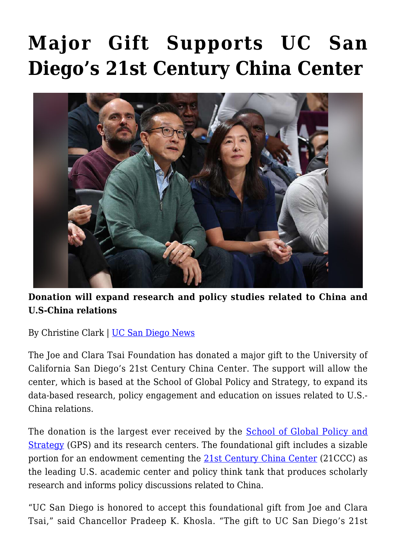## **[Major Gift Supports UC San](https://gpsnews.ucsd.edu/major-gift-supports-uc-san-diegos-21st-century-china-center/) [Diego's 21st Century China Center](https://gpsnews.ucsd.edu/major-gift-supports-uc-san-diegos-21st-century-china-center/)**



**Donation will expand research and policy studies related to China and U.S-China relations**

By Christine Clark | [UC San Diego News](https://ucsdnews.ucsd.edu/feature/major-gift-supports-uc-san-diegos-21st-century-china-center)

The Joe and Clara Tsai Foundation has donated a major gift to the University of California San Diego's 21st Century China Center. The support will allow the center, which is based at the School of Global Policy and Strategy, to expand its data-based research, policy engagement and education on issues related to U.S.- China relations.

The donation is the largest ever received by the [School of Global Policy and](https://gps.ucsd.edu/) [Strategy](https://gps.ucsd.edu/) (GPS) and its research centers. The foundational gift includes a sizable portion for an endowment cementing the [21st Century China Center](https://china.ucsd.edu/events/china-forum/index.html) (21CCC) as the leading U.S. academic center and policy think tank that produces scholarly research and informs policy discussions related to China.

"UC San Diego is honored to accept this foundational gift from Joe and Clara Tsai," said Chancellor Pradeep K. Khosla. "The gift to UC San Diego's 21st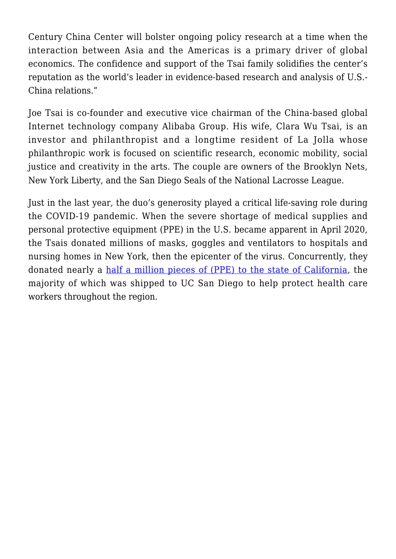Century China Center will bolster ongoing policy research at a time when the interaction between Asia and the Americas is a primary driver of global economics. The confidence and support of the Tsai family solidifies the center's reputation as the world's leader in evidence-based research and analysis of U.S.- China relations."

Joe Tsai is co-founder and executive vice chairman of the China-based global Internet technology company Alibaba Group. His wife, Clara Wu Tsai, is an investor and philanthropist and a longtime resident of La Jolla whose philanthropic work is focused on scientific research, economic mobility, social justice and creativity in the arts. The couple are owners of the Brooklyn Nets, New York Liberty, and the San Diego Seals of the National Lacrosse League.

Just in the last year, the duo's generosity played a critical life-saving role during the COVID-19 pandemic. When the severe shortage of medical supplies and personal protective equipment (PPE) in the U.S. became apparent in April 2020, the Tsais donated millions of masks, goggles and ventilators to hospitals and nursing homes in New York, then the epicenter of the virus. Concurrently, they donated nearly a [half a million pieces of \(PPE\) to the state of California,](https://ucsdnews.ucsd.edu/feature/alibaba-co-founder-joe-tsai-and-clara-wu-tsai-donate-ppe-to-health-care-providers) the majority of which was shipped to UC San Diego to help protect health care workers throughout the region.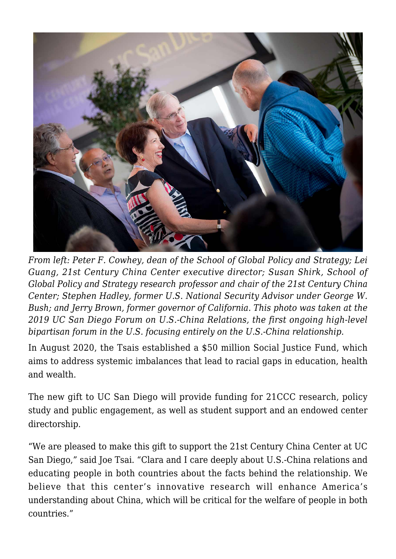

*From left: Peter F. Cowhey, dean of the School of Global Policy and Strategy; Lei Guang, 21st Century China Center executive director; Susan Shirk, School of Global Policy and Strategy research professor and chair of the 21st Century China Center; Stephen Hadley, former U.S. National Security Advisor under George W. Bush; and Jerry Brown, former governor of California. This photo was taken at the 2019 UC San Diego Forum on U.S.-China Relations, the first ongoing high-level bipartisan forum in the U.S. focusing entirely on the U.S.-China relationship.*

In August 2020, the Tsais established a \$50 million Social Justice Fund, which aims to address systemic imbalances that lead to racial gaps in education, health and wealth.

The new gift to UC San Diego will provide funding for 21CCC research, policy study and public engagement, as well as student support and an endowed center directorship.

"We are pleased to make this gift to support the 21st Century China Center at UC San Diego," said Joe Tsai. "Clara and I care deeply about U.S.-China relations and educating people in both countries about the facts behind the relationship. We believe that this center's innovative research will enhance America's understanding about China, which will be critical for the welfare of people in both countries."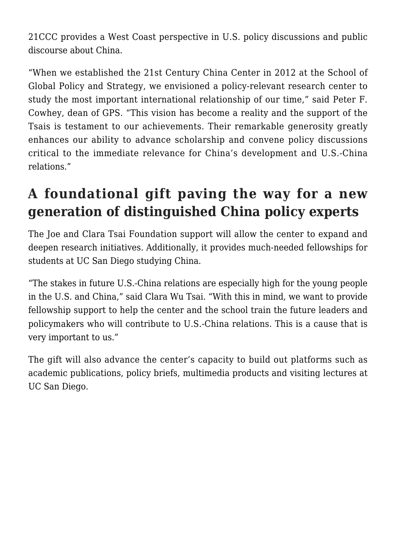21CCC provides a West Coast perspective in U.S. policy discussions and public discourse about China.

"When we established the 21st Century China Center in 2012 at the School of Global Policy and Strategy, we envisioned a policy-relevant research center to study the most important international relationship of our time," said Peter F. Cowhey, dean of GPS. "This vision has become a reality and the support of the Tsais is testament to our achievements. Their remarkable generosity greatly enhances our ability to advance scholarship and convene policy discussions critical to the immediate relevance for China's development and U.S.-China relations."

## **A foundational gift paving the way for a new generation of distinguished China policy experts**

The Joe and Clara Tsai Foundation support will allow the center to expand and deepen research initiatives. Additionally, it provides much-needed fellowships for students at UC San Diego studying China.

"The stakes in future U.S.-China relations are especially high for the young people in the U.S. and China," said Clara Wu Tsai. "With this in mind, we want to provide fellowship support to help the center and the school train the future leaders and policymakers who will contribute to U.S.-China relations. This is a cause that is very important to us."

The gift will also advance the center's capacity to build out platforms such as academic publications, policy briefs, multimedia products and visiting lectures at UC San Diego.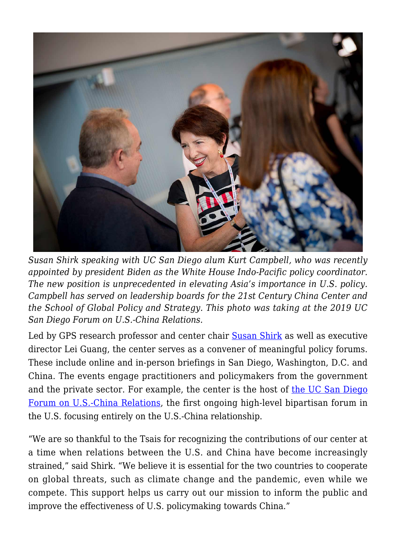

*Susan Shirk speaking with UC San Diego alum Kurt Campbell, who was recently appointed by president Biden as the White House Indo-Pacific policy coordinator. The new position is unprecedented in elevating Asia's importance in U.S. policy. Campbell has served on leadership boards for the 21st Century China Center and the School of Global Policy and Strategy. This photo was taking at the 2019 UC San Diego Forum on U.S.-China Relations.*

Led by GPS research professor and center chair **[Susan Shirk](https://gps.ucsd.edu/faculty-directory/susan-shirk.html)** as well as executive director Lei Guang, the center serves as a convener of meaningful policy forums. These include online and in-person briefings in San Diego, Washington, D.C. and China. The events engage practitioners and policymakers from the government and the private sector. For example, the center is the host of [the UC San Diego](https://china.ucsd.edu/events/china-forum/index.html) [Forum on U.S.-China Relations,](https://china.ucsd.edu/events/china-forum/index.html) the first ongoing high-level bipartisan forum in the U.S. focusing entirely on the U.S.-China relationship.

"We are so thankful to the Tsais for recognizing the contributions of our center at a time when relations between the U.S. and China have become increasingly strained," said Shirk. "We believe it is essential for the two countries to cooperate on global threats, such as climate change and the pandemic, even while we compete. This support helps us carry out our mission to inform the public and improve the effectiveness of U.S. policymaking towards China."